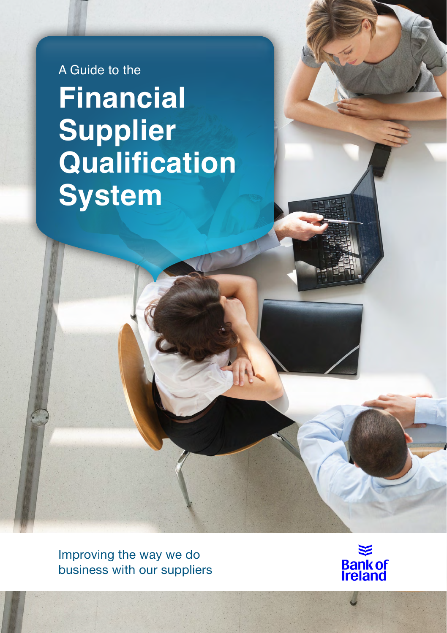**Financial Supplier Qualification System** A Guide to the

Improving the way we do business with our suppliers

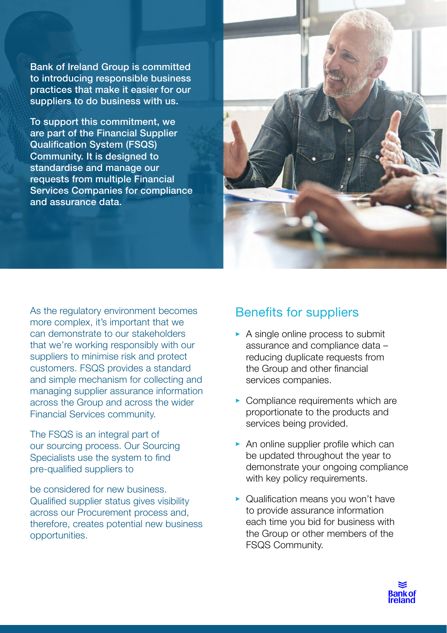Bank of Ireland Group is committed to introducing responsible business practices that make it easier for our suppliers to do business with us.

To support this commitment, we are part of the Financial Supplier Qualification System (FSQS) Community. It is designed to standardise and manage our requests from multiple Financial Services Companies for compliance and assurance data.



As the regulatory environment becomes more complex, it's important that we can demonstrate to our stakeholders that we're working responsibly with our suppliers to minimise risk and protect customers. FSQS provides a standard and simple mechanism for collecting and managing supplier assurance information across the Group and across the wider Financial Services community.

The FSQS is an integral part of our sourcing process. Our Sourcing Specialists use the system to find pre-qualified suppliers to

be considered for new business. Qualified supplier status gives visibility across our Procurement process and, therefore, creates potential new business opportunities.

## Benefits for suppliers

- $\triangleright$  A single online process to submit assurance and compliance data – reducing duplicate requests from the Group and other financial services companies.
- ▶ Compliance requirements which are proportionate to the products and services being provided.
- $\triangleright$  An online supplier profile which can be updated throughout the year to demonstrate your ongoing compliance with key policy requirements.
- ▶ Qualification means you won't have to provide assurance information each time you bid for business with the Group or other members of the FSQS Community.

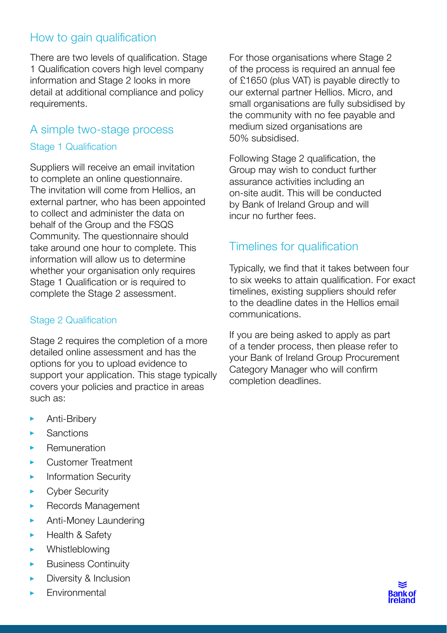## How to gain qualification

There are two levels of qualification. Stage 1 Qualification covers high level company information and Stage 2 looks in more detail at additional compliance and policy requirements.

## A simple two-stage process

## Stage 1 Qualification

Suppliers will receive an email invitation to complete an online questionnaire. The invitation will come from Hellios, an external partner, who has been appointed to collect and administer the data on behalf of the Group and the FSQS Community. The questionnaire should take around one hour to complete. This information will allow us to determine whether your organisation only requires Stage 1 Qualification or is required to complete the Stage 2 assessment.

### Stage 2 Qualification

Stage 2 requires the completion of a more detailed online assessment and has the options for you to upload evidence to support your application. This stage typically covers your policies and practice in areas such as:

- À. Anti-Bribery
- **Sanctions** Í.
- Remuneration
- Customer Treatment К
- Information Security ×
- Cyber Security ь
- Records Management j.
- Anti-Money Laundering ь
- Health & Safety  $\mathbf{r}$
- Whistleblowing ĥ.
- Business Continuity Í.
- Í. Diversity & Inclusion
- Environmental

For those organisations where Stage 2 of the process is required an annual fee of £1650 (plus VAT) is payable directly to our external partner Hellios. Micro, and small organisations are fully subsidised by the community with no fee payable and medium sized organisations are 50% subsidised.

Following Stage 2 qualification, the Group may wish to conduct further assurance activities including an on-site audit. This will be conducted by Bank of Ireland Group and will incur no further fees.

## Timelines for qualification

Typically, we find that it takes between four to six weeks to attain qualification. For exact timelines, existing suppliers should refer to the deadline dates in the Hellios email communications.

If you are being asked to apply as part of a tender process, then please refer to your Bank of Ireland Group Procurement Category Manager who will confirm completion deadlines.

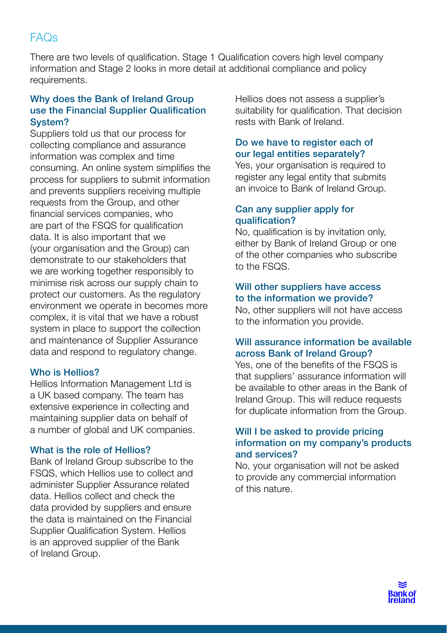# FAQs

There are two levels of qualification. Stage 1 Qualification covers high level company information and Stage 2 looks in more detail at additional compliance and policy requirements.

## Why does the Bank of Ireland Group use the Financial Supplier Qualification System?

Suppliers told us that our process for collecting compliance and assurance information was complex and time consuming. An online system simplifies the process for suppliers to submit information and prevents suppliers receiving multiple requests from the Group, and other financial services companies, who are part of the FSQS for qualification data. It is also important that we (your organisation and the Group) can demonstrate to our stakeholders that we are working together responsibly to minimise risk across our supply chain to protect our customers. As the regulatory environment we operate in becomes more complex, it is vital that we have a robust system in place to support the collection and maintenance of Supplier Assurance data and respond to regulatory change.

### Who is Hellios?

Hellios Information Management Ltd is a UK based company. The team has extensive experience in collecting and maintaining supplier data on behalf of a number of global and UK companies.

### What is the role of Hellios?

Bank of Ireland Group subscribe to the FSQS, which Hellios use to collect and administer Supplier Assurance related data. Hellios collect and check the data provided by suppliers and ensure the data is maintained on the Financial Supplier Qualification System. Hellios is an approved supplier of the Bank of Ireland Group.

Hellios does not assess a supplier's suitability for qualification. That decision rests with Bank of Ireland.

### Do we have to register each of our legal entities separately?

Yes, your organisation is required to register any legal entity that submits an invoice to Bank of Ireland Group.

#### Can any supplier apply for qualification?

No, qualification is by invitation only, either by Bank of Ireland Group or one of the other companies who subscribe to the FSQS.

#### Will other suppliers have access to the information we provide?

No, other suppliers will not have access to the information you provide.

### Will assurance information be available across Bank of Ireland Group?

Yes, one of the benefits of the FSQS is that suppliers' assurance information will be available to other areas in the Bank of Ireland Group. This will reduce requests for duplicate information from the Group.

#### Will I be asked to provide pricing information on my company's products and services?

No, your organisation will not be asked to provide any commercial information of this nature.